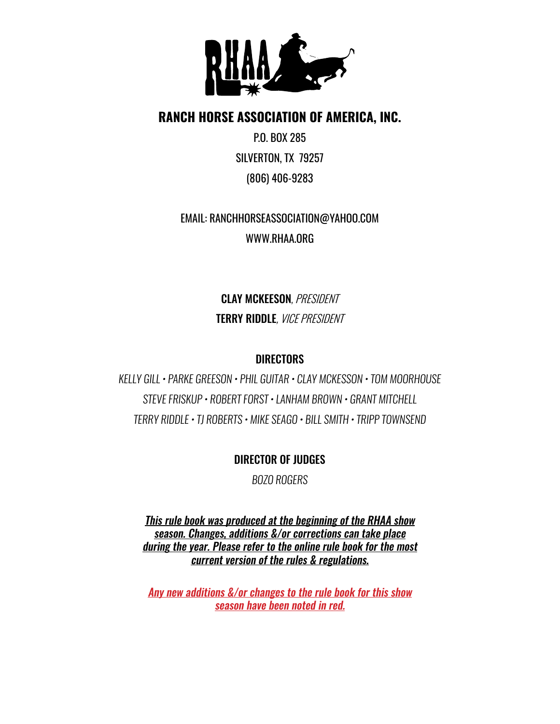

### **RANCH HORSE ASSOCIATION OF AMERICA, INC.**

P.O. BOX 285 SILVERTON, TX 79257 (806) 406-9283

## EMAIL: RANCHHORSEASSOCIATION@YAHOO.COM WWW.RHAA.ORG

CLAY MCKEESON*, PRESIDENT* TERRY RIDDLE*, VICE PRESIDENT*

### **DIRECTORS**

*KELLY GILL • PARKE GREESON • PHIL GUITAR • CLAY MCKESSON • TOM MOORHOUSE STEVE FRISKUP • ROBERT FORST • LANHAM BROWN • GRANT MITCHELL TERRY RIDDLE • TJ ROBERTS • MIKE SEAGO • BILL SMITH • TRIPP TOWNSEND*

### DIRECTOR OF JUDGES

*BOZO ROGERS*

This rule book was produced at the beginning of the RHAA show season. Changes, additions &/or corrections can take place during the year. Please refer to the online rule book for the most current version of the rules & regulations.

Any new additions &/or changes to the rule book for this show season have been noted in red.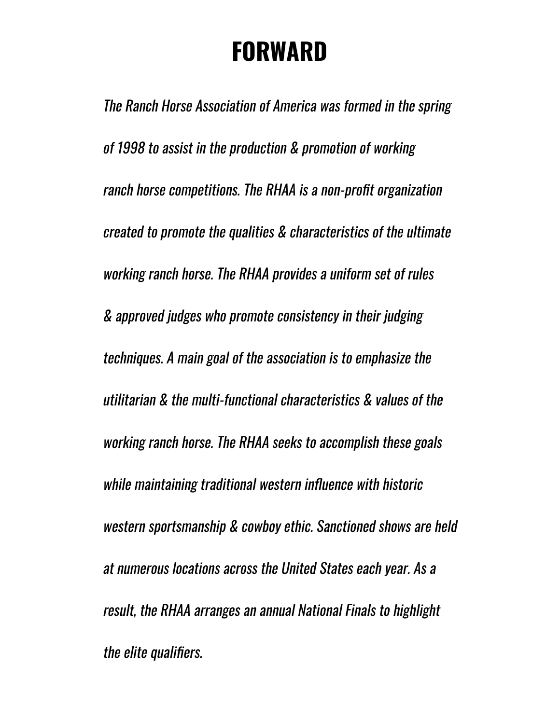# **FORWARD**

The Ranch Horse Association of America was formed in the spring of 1998 to assist in the production & promotion of working ranch horse competitions. The RHAA is a non-profit organization created to promote the qualities & characteristics of the ultimate working ranch horse. The RHAA provides a uniform set of rules & approved judges who promote consistency in their judging techniques. A main goal of the association is to emphasize the utilitarian & the multi-functional characteristics & values of the working ranch horse. The RHAA seeks to accomplish these goals while maintaining traditional western influence with historic western sportsmanship & cowboy ethic. Sanctioned shows are held at numerous locations across the United States each year. As a result, the RHAA arranges an annual National Finals to highlight the elite qualifiers.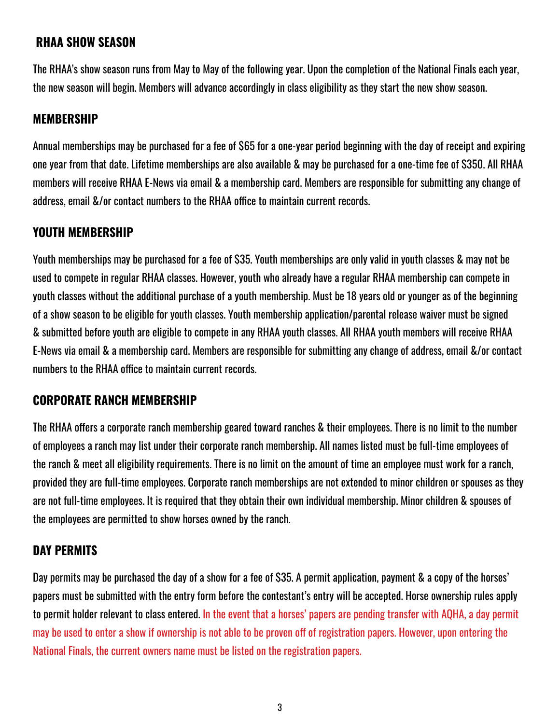### **RHAA SHOW SEASON**

The RHAA's show season runs from May to May of the following year. Upon the completion of the National Finals each year, the new season will begin. Members will advance accordingly in class eligibility as they start the new show season.

### **MEMBERSHIP**

Annual memberships may be purchased for a fee of \$65 for a one-year period beginning with the day of receipt and expiring one year from that date. Lifetime memberships are also available & may be purchased for a one-time fee of \$350. All RHAA members will receive RHAA E-News via email & a membership card. Members are responsible for submitting any change of address, email &/or contact numbers to the RHAA office to maintain current records.

### **YOUTH MEMBERSHIP**

Youth memberships may be purchased for a fee of \$35. Youth memberships are only valid in youth classes & may not be used to compete in regular RHAA classes. However, youth who already have a regular RHAA membership can compete in youth classes without the additional purchase of a youth membership. Must be 18 years old or younger as of the beginning of a show season to be eligible for youth classes. Youth membership application/parental release waiver must be signed & submitted before youth are eligible to compete in any RHAA youth classes. All RHAA youth members will receive RHAA E-News via email & a membership card. Members are responsible for submitting any change of address, email &/or contact numbers to the RHAA office to maintain current records.

### **CORPORATE RANCH MEMBERSHIP**

The RHAA offers a corporate ranch membership geared toward ranches & their employees. There is no limit to the number of employees a ranch may list under their corporate ranch membership. All names listed must be full-time employees of the ranch & meet all eligibility requirements. There is no limit on the amount of time an employee must work for a ranch, provided they are full-time employees. Corporate ranch memberships are not extended to minor children or spouses as they are not full-time employees. It is required that they obtain their own individual membership. Minor children & spouses of the employees are permitted to show horses owned by the ranch.

### **DAY PERMITS**

Day permits may be purchased the day of a show for a fee of \$35. A permit application, payment & a copy of the horses' papers must be submitted with the entry form before the contestant's entry will be accepted. Horse ownership rules apply to permit holder relevant to class entered. In the event that a horses' papers are pending transfer with AQHA, a day permit may be used to enter a show if ownership is not able to be proven off of registration papers. However, upon entering the National Finals, the current owners name must be listed on the registration papers.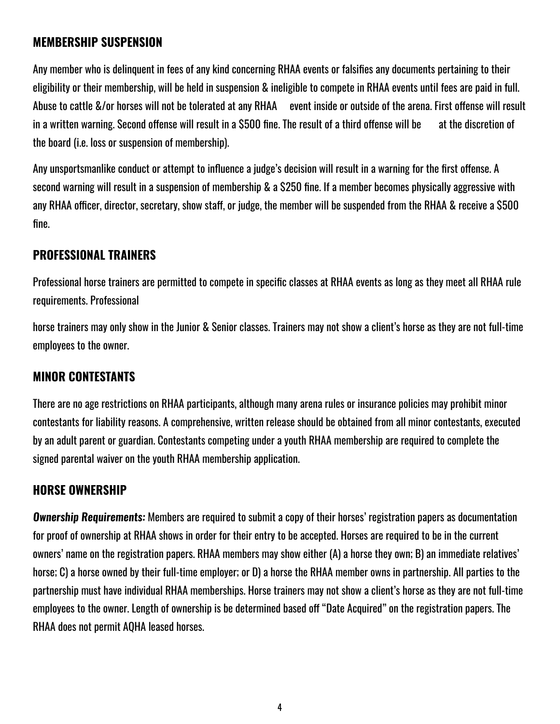### **MEMBERSHIP SUSPENSION**

Any member who is delinquent in fees of any kind concerning RHAA events or falsifies any documents pertaining to their eligibility or their membership, will be held in suspension & ineligible to compete in RHAA events until fees are paid in full. Abuse to cattle &/or horses will not be tolerated at any RHAA event inside or outside of the arena. First offense will result in a written warning. Second offense will result in a \$500 fine. The result of a third offense will be at the discretion of the board (i.e. loss or suspension of membership).

Any unsportsmanlike conduct or attempt to influence a judge's decision will result in a warning for the first offense. A second warning will result in a suspension of membership & a \$250 fine. If a member becomes physically aggressive with any RHAA officer, director, secretary, show staff, or judge, the member will be suspended from the RHAA & receive a \$500 fine.

### **PROFESSIONAL TRAINERS**

Professional horse trainers are permitted to compete in specific classes at RHAA events as long as they meet all RHAA rule requirements. Professional

horse trainers may only show in the Junior & Senior classes. Trainers may not show a client's horse as they are not full-time employees to the owner.

### **MINOR CONTESTANTS**

There are no age restrictions on RHAA participants, although many arena rules or insurance policies may prohibit minor contestants for liability reasons. A comprehensive, written release should be obtained from all minor contestants, executed by an adult parent or guardian. Contestants competing under a youth RHAA membership are required to complete the signed parental waiver on the youth RHAA membership application.

### **HORSE OWNERSHIP**

**Ownership Requirements:** Members are required to submit a copy of their horses' registration papers as documentation for proof of ownership at RHAA shows in order for their entry to be accepted. Horses are required to be in the current owners' name on the registration papers. RHAA members may show either (A) a horse they own; B) an immediate relatives' horse; C) a horse owned by their full-time employer; or D) a horse the RHAA member owns in partnership. All parties to the partnership must have individual RHAA memberships. Horse trainers may not show a client's horse as they are not full-time employees to the owner. Length of ownership is be determined based off "Date Acquired" on the registration papers. The RHAA does not permit AQHA leased horses.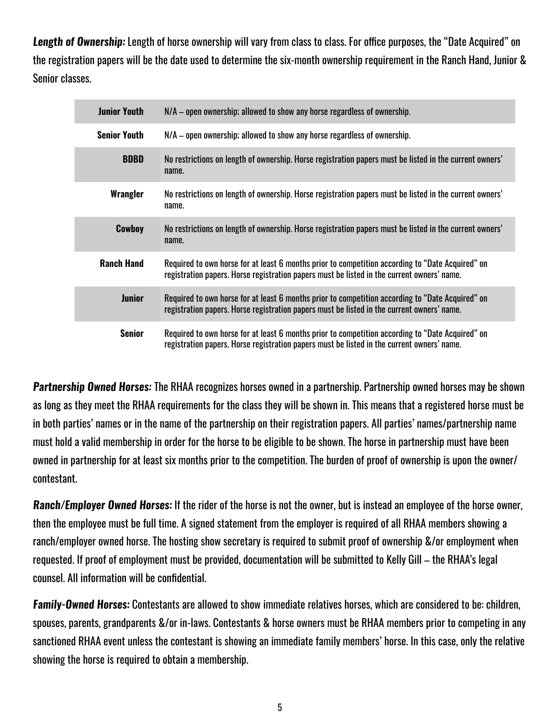**Length of Ownership:** Length of horse ownership will vary from class to class. For office purposes, the "Date Acquired" on the registration papers will be the date used to determine the six-month ownership requirement in the Ranch Hand, Junior & Senior classes.

| <b>Junior Youth</b> | $N/A$ – open ownership; allowed to show any horse regardless of ownership.                                                                                                                     |
|---------------------|------------------------------------------------------------------------------------------------------------------------------------------------------------------------------------------------|
| <b>Senior Youth</b> | $N/A$ – open ownership; allowed to show any horse regardless of ownership.                                                                                                                     |
| <b>BDBD</b>         | No restrictions on length of ownership. Horse registration papers must be listed in the current owners'<br>name.                                                                               |
| Wrangler            | No restrictions on length of ownership. Horse registration papers must be listed in the current owners'<br>name.                                                                               |
| Cowboy              | No restrictions on length of ownership. Horse registration papers must be listed in the current owners'<br>name.                                                                               |
| <b>Ranch Hand</b>   | Required to own horse for at least 6 months prior to competition according to "Date Acquired" on<br>registration papers. Horse registration papers must be listed in the current owners' name. |
| <b>Junior</b>       | Required to own horse for at least 6 months prior to competition according to "Date Acquired" on<br>registration papers. Horse registration papers must be listed in the current owners' name. |
| <b>Senior</b>       | Required to own horse for at least 6 months prior to competition according to "Date Acquired" on<br>registration papers. Horse registration papers must be listed in the current owners' name. |

**Partnership Owned Horses:** The RHAA recognizes horses owned in a partnership. Partnership owned horses may be shown as long as they meet the RHAA requirements for the class they will be shown in. This means that a registered horse must be in both parties' names or in the name of the partnership on their registration papers. All parties' names/partnership name must hold a valid membership in order for the horse to be eligible to be shown. The horse in partnership must have been owned in partnership for at least six months prior to the competition. The burden of proof of ownership is upon the owner/ contestant.

**Ranch/Employer Owned Horses:** If the rider of the horse is not the owner, but is instead an employee of the horse owner, then the employee must be full time. A signed statement from the employer is required of all RHAA members showing a ranch/employer owned horse. The hosting show secretary is required to submit proof of ownership &/or employment when requested. If proof of employment must be provided, documentation will be submitted to Kelly Gill – the RHAA's legal counsel. All information will be confidential.

**Family-Owned Horses:** Contestants are allowed to show immediate relatives horses, which are considered to be: children, spouses, parents, grandparents &/or in-laws. Contestants & horse owners must be RHAA members prior to competing in any sanctioned RHAA event unless the contestant is showing an immediate family members' horse. In this case, only the relative showing the horse is required to obtain a membership.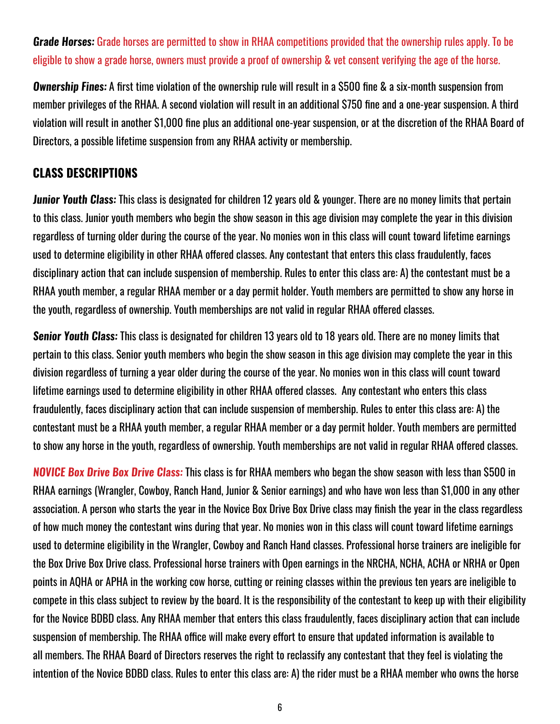**Grade Horses:** Grade horses are permitted to show in RHAA competitions provided that the ownership rules apply. To be eligible to show a grade horse, owners must provide a proof of ownership & vet consent verifying the age of the horse.

**Ownership Fines:** A first time violation of the ownership rule will result in a \$500 fine & a six-month suspension from member privileges of the RHAA. A second violation will result in an additional \$750 fine and a one-year suspension. A third violation will result in another \$1,000 fine plus an additional one-year suspension, or at the discretion of the RHAA Board of Directors, a possible lifetime suspension from any RHAA activity or membership.

### **CLASS DESCRIPTIONS**

**Junior Youth Class:** This class is designated for children 12 years old & younger. There are no money limits that pertain to this class. Junior youth members who begin the show season in this age division may complete the year in this division regardless of turning older during the course of the year. No monies won in this class will count toward lifetime earnings used to determine eligibility in other RHAA offered classes. Any contestant that enters this class fraudulently, faces disciplinary action that can include suspension of membership. Rules to enter this class are: A) the contestant must be a RHAA youth member, a regular RHAA member or a day permit holder. Youth members are permitted to show any horse in the youth, regardless of ownership. Youth memberships are not valid in regular RHAA offered classes.

**Senior Youth Class:** This class is designated for children 13 years old to 18 years old. There are no money limits that pertain to this class. Senior youth members who begin the show season in this age division may complete the year in this division regardless of turning a year older during the course of the year. No monies won in this class will count toward lifetime earnings used to determine eligibility in other RHAA offered classes. Any contestant who enters this class fraudulently, faces disciplinary action that can include suspension of membership. Rules to enter this class are: A) the contestant must be a RHAA youth member, a regular RHAA member or a day permit holder. Youth members are permitted to show any horse in the youth, regardless of ownership. Youth memberships are not valid in regular RHAA offered classes.

**NOVICE Box Drive Box Drive Class:** This class is for RHAA members who began the show season with less than \$500 in RHAA earnings (Wrangler, Cowboy, Ranch Hand, Junior & Senior earnings) and who have won less than \$1,000 in any other association. A person who starts the year in the Novice Box Drive Box Drive class may finish the year in the class regardless of how much money the contestant wins during that year. No monies won in this class will count toward lifetime earnings used to determine eligibility in the Wrangler, Cowboy and Ranch Hand classes. Professional horse trainers are ineligible for the Box Drive Box Drive class. Professional horse trainers with Open earnings in the NRCHA, NCHA, ACHA or NRHA or Open points in AQHA or APHA in the working cow horse, cutting or reining classes within the previous ten years are ineligible to compete in this class subject to review by the board. It is the responsibility of the contestant to keep up with their eligibility for the Novice BDBD class. Any RHAA member that enters this class fraudulently, faces disciplinary action that can include suspension of membership. The RHAA office will make every effort to ensure that updated information is available to all members. The RHAA Board of Directors reserves the right to reclassify any contestant that they feel is violating the intention of the Novice BDBD class. Rules to enter this class are: A) the rider must be a RHAA member who owns the horse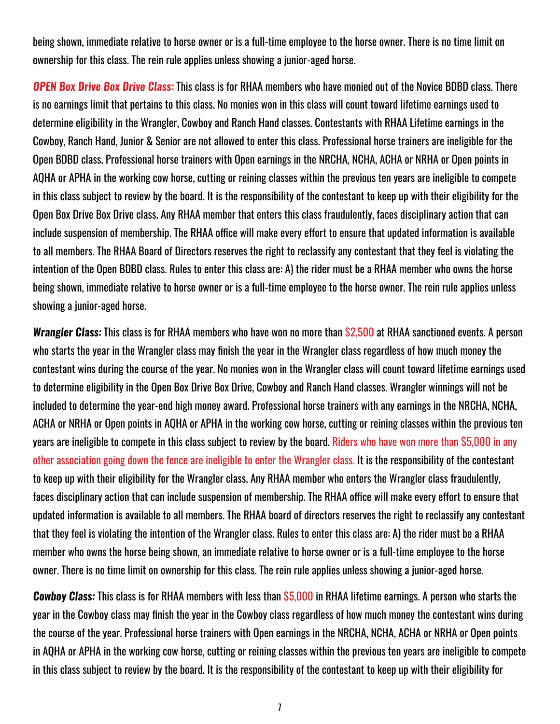being shown, immediate relative to horse owner or is a full-time employee to the horse owner. There is no time limit on ownership for this class. The rein rule applies unless showing a junior-aged horse.

**OPEN Box Drive Box Drive Class:** This class is for RHAA members who have monied out of the Novice BDBD class. There is no earnings limit that pertains to this class. No monies won in this class will count toward lifetime earnings used to determine eligibility in the Wrangler, Cowboy and Ranch Hand classes. Contestants with RHAA Lifetime earnings in the Cowboy, Ranch Hand, Junior & Senior are not allowed to enter this class. Professional horse trainers are ineligible for the Open BDBD class. Professional horse trainers with Open earnings in the NRCHA, NCHA, ACHA or NRHA or Open points in AQHA or APHA in the working cow horse, cutting or reining classes within the previous ten years are ineligible to compete in this class subject to review by the board. It is the responsibility of the contestant to keep up with their eligibility for the Open Box Drive Box Drive class. Any RHAA member that enters this class fraudulently, faces disciplinary action that can include suspension of membership. The RHAA office will make every effort to ensure that updated information is available to all members. The RHAA Board of Directors reserves the right to reclassify any contestant that they feel is violating the intention of the Open BDBD class. Rules to enter this class are: A) the rider must be a RHAA member who owns the horse being shown, immediate relative to horse owner or is a full-time employee to the horse owner. The rein rule applies unless showing a junior-aged horse.

**Wrangler Class:** This class is for RHAA members who have won no more than \$2,500 at RHAA sanctioned events. A person who starts the year in the Wrangler class may finish the year in the Wrangler class regardless of how much money the contestant wins during the course of the year. No monies won in the Wrangler class will count toward lifetime earnings used to determine eligibility in the Open Box Drive Box Drive, Cowboy and Ranch Hand classes. Wrangler winnings will not be included to determine the year-end high money award. Professional horse trainers with any earnings in the NRCHA, NCHA, ACHA or NRHA or Open points in AQHA or APHA in the working cow horse, cutting or reining classes within the previous ten years are ineligible to compete in this class subject to review by the board. Riders who have won more than \$5,000 in any other association going down the fence are ineligible to enter the Wrangler class. It is the responsibility of the contestant to keep up with their eligibility for the Wrangler class. Any RHAA member who enters the Wrangler class fraudulently, faces disciplinary action that can include suspension of membership. The RHAA office will make every effort to ensure that updated information is available to all members. The RHAA board of directors reserves the right to reclassify any contestant that they feel is violating the intention of the Wrangler class. Rules to enter this class are: A) the rider must be a RHAA member who owns the horse being shown, an immediate relative to horse owner or is a full-time employee to the horse owner. There is no time limit on ownership for this class. The rein rule applies unless showing a junior-aged horse.

**Cowboy Class:** This class is for RHAA members with less than \$5,000 in RHAA lifetime earnings. A person who starts the year in the Cowboy class may finish the year in the Cowboy class regardless of how much money the contestant wins during the course of the year. Professional horse trainers with Open earnings in the NRCHA, NCHA, ACHA or NRHA or Open points in AQHA or APHA in the working cow horse, cutting or reining classes within the previous ten years are ineligible to compete in this class subject to review by the board. It is the responsibility of the contestant to keep up with their eligibility for

7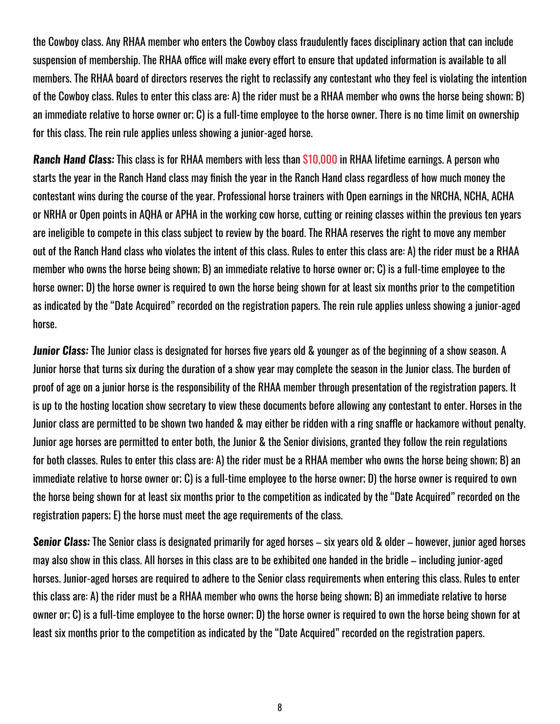the Cowboy class. Any RHAA member who enters the Cowboy class fraudulently faces disciplinary action that can include suspension of membership. The RHAA office will make every effort to ensure that updated information is available to all members. The RHAA board of directors reserves the right to reclassify any contestant who they feel is violating the intention of the Cowboy class. Rules to enter this class are: A) the rider must be a RHAA member who owns the horse being shown; B) an immediate relative to horse owner or; C) is a full-time employee to the horse owner. There is no time limit on ownership for this class. The rein rule applies unless showing a junior-aged horse.

**Ranch Hand Class:** This class is for RHAA members with less than \$10,000 in RHAA lifetime earnings. A person who starts the year in the Ranch Hand class may finish the year in the Ranch Hand class regardless of how much money the contestant wins during the course of the year. Professional horse trainers with Open earnings in the NRCHA, NCHA, ACHA or NRHA or Open points in AQHA or APHA in the working cow horse, cutting or reining classes within the previous ten years are ineligible to compete in this class subject to review by the board. The RHAA reserves the right to move any member out of the Ranch Hand class who violates the intent of this class. Rules to enter this class are: A) the rider must be a RHAA member who owns the horse being shown; B) an immediate relative to horse owner or; C) is a full-time employee to the horse owner; D) the horse owner is required to own the horse being shown for at least six months prior to the competition as indicated by the "Date Acquired" recorded on the registration papers. The rein rule applies unless showing a junior-aged horse.

**Junior Class:** The Junior class is designated for horses five years old & younger as of the beginning of a show season. A Junior horse that turns six during the duration of a show year may complete the season in the Junior class. The burden of proof of age on a junior horse is the responsibility of the RHAA member through presentation of the registration papers. It is up to the hosting location show secretary to view these documents before allowing any contestant to enter. Horses in the Junior class are permitted to be shown two handed & may either be ridden with a ring snaffle or hackamore without penalty. Junior age horses are permitted to enter both, the Junior & the Senior divisions, granted they follow the rein regulations for both classes. Rules to enter this class are: A) the rider must be a RHAA member who owns the horse being shown; B) an immediate relative to horse owner or; C) is a full-time employee to the horse owner; D) the horse owner is required to own the horse being shown for at least six months prior to the competition as indicated by the "Date Acquired" recorded on the registration papers; E) the horse must meet the age requirements of the class.

**Senior Class:** The Senior class is designated primarily for aged horses – six years old & older – however, junior aged horses may also show in this class. All horses in this class are to be exhibited one handed in the bridle – including junior-aged horses. Junior-aged horses are required to adhere to the Senior class requirements when entering this class. Rules to enter this class are: A) the rider must be a RHAA member who owns the horse being shown; B) an immediate relative to horse owner or; C) is a full-time employee to the horse owner; D) the horse owner is required to own the horse being shown for at least six months prior to the competition as indicated by the "Date Acquired" recorded on the registration papers.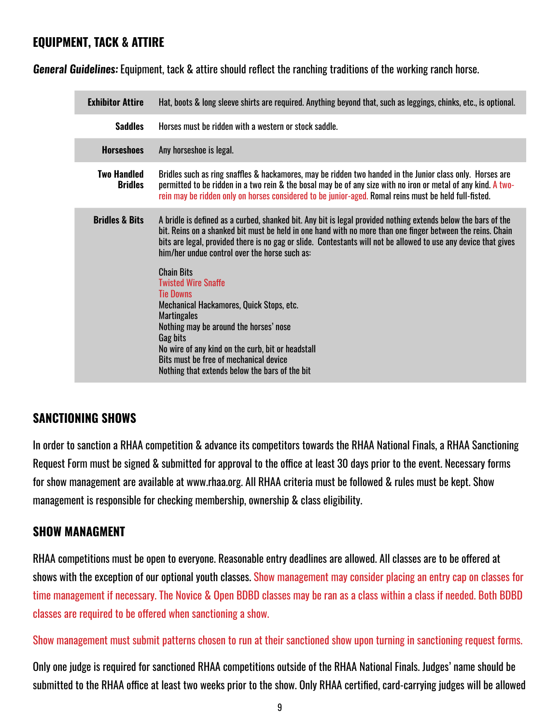### **EQUIPMENT, TACK & ATTIRE**

**General Guidelines:** Equipment, tack & attire should reflect the ranching traditions of the working ranch horse.

| <b>Exhibitor Attire</b>              | Hat, boots & long sleeve shirts are required. Anything beyond that, such as leggings, chinks, etc., is optional.                                                                                                                                                                                                                                                                                                                                                                                                                                                                                                                                                                              |
|--------------------------------------|-----------------------------------------------------------------------------------------------------------------------------------------------------------------------------------------------------------------------------------------------------------------------------------------------------------------------------------------------------------------------------------------------------------------------------------------------------------------------------------------------------------------------------------------------------------------------------------------------------------------------------------------------------------------------------------------------|
| <b>Saddles</b>                       | Horses must be ridden with a western or stock saddle.                                                                                                                                                                                                                                                                                                                                                                                                                                                                                                                                                                                                                                         |
| <b>Horseshoes</b>                    | Any horseshoe is legal.                                                                                                                                                                                                                                                                                                                                                                                                                                                                                                                                                                                                                                                                       |
| <b>Two Handled</b><br><b>Bridles</b> | Bridles such as ring snaffles & hackamores, may be ridden two handed in the Junior class only. Horses are<br>permitted to be ridden in a two rein & the bosal may be of any size with no iron or metal of any kind. A two-<br>rein may be ridden only on horses considered to be junior-aged. Romal reins must be held full-fisted.                                                                                                                                                                                                                                                                                                                                                           |
| <b>Bridles &amp; Bits</b>            | A bridle is defined as a curbed, shanked bit. Any bit is legal provided nothing extends below the bars of the<br>bit. Reins on a shanked bit must be held in one hand with no more than one finger between the reins. Chain<br>bits are legal, provided there is no gag or slide. Contestants will not be allowed to use any device that gives<br>him/her undue control over the horse such as:<br><b>Chain Bits</b><br><b>Twisted Wire Snaffe</b><br><b>Tie Downs</b><br>Mechanical Hackamores, Quick Stops, etc.<br><b>Martingales</b><br>Nothing may be around the horses' nose<br>Gag bits<br>No wire of any kind on the curb, bit or headstall<br>Bits must be free of mechanical device |
|                                      | Nothing that extends below the bars of the bit                                                                                                                                                                                                                                                                                                                                                                                                                                                                                                                                                                                                                                                |

### **SANCTIONING SHOWS**

In order to sanction a RHAA competition & advance its competitors towards the RHAA National Finals, a RHAA Sanctioning Request Form must be signed & submitted for approval to the office at least 30 days prior to the event. Necessary forms for show management are available at www.rhaa.org. All RHAA criteria must be followed & rules must be kept. Show management is responsible for checking membership, ownership & class eligibility.

### **SHOW MANAGMENT**

RHAA competitions must be open to everyone. Reasonable entry deadlines are allowed. All classes are to be offered at shows with the exception of our optional youth classes. Show management may consider placing an entry cap on classes for time management if necessary. The Novice & Open BDBD classes may be ran as a class within a class if needed. Both BDBD classes are required to be offered when sanctioning a show.

Show management must submit patterns chosen to run at their sanctioned show upon turning in sanctioning request forms.

Only one judge is required for sanctioned RHAA competitions outside of the RHAA National Finals. Judges' name should be submitted to the RHAA office at least two weeks prior to the show. Only RHAA certified, card-carrying judges will be allowed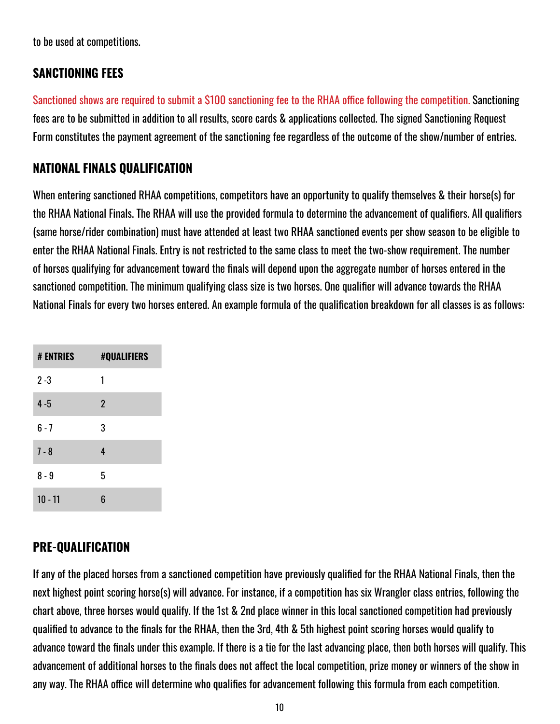to be used at competitions.

### **SANCTIONING FEES**

Sanctioned shows are required to submit a \$100 sanctioning fee to the RHAA office following the competition. Sanctioning fees are to be submitted in addition to all results, score cards & applications collected. The signed Sanctioning Request Form constitutes the payment agreement of the sanctioning fee regardless of the outcome of the show/number of entries.

### **NATIONAL FINALS QUALIFICATION**

When entering sanctioned RHAA competitions, competitors have an opportunity to qualify themselves & their horse(s) for the RHAA National Finals. The RHAA will use the provided formula to determine the advancement of qualifiers. All qualifiers (same horse/rider combination) must have attended at least two RHAA sanctioned events per show season to be eligible to enter the RHAA National Finals. Entry is not restricted to the same class to meet the two-show requirement. The number of horses qualifying for advancement toward the finals will depend upon the aggregate number of horses entered in the sanctioned competition. The minimum qualifying class size is two horses. One qualifier will advance towards the RHAA National Finals for every two horses entered. An example formula of the qualification breakdown for all classes is as follows:

| <b># ENTRIES</b> | <b>#QUALIFIERS</b> |
|------------------|--------------------|
| $2 - 3$          | 1                  |
| $4 - 5$          | $\overline{2}$     |
| $6 - 7$          | 3                  |
| $7 - 8$          | 4                  |
| 8 - 9            | 5                  |
| $10 - 11$        | 6                  |

### **PRE-QUALIFICATION**

If any of the placed horses from a sanctioned competition have previously qualified for the RHAA National Finals, then the next highest point scoring horse(s) will advance. For instance, if a competition has six Wrangler class entries, following the chart above, three horses would qualify. If the 1st & 2nd place winner in this local sanctioned competition had previously qualified to advance to the finals for the RHAA, then the 3rd, 4th & 5th highest point scoring horses would qualify to advance toward the finals under this example. If there is a tie for the last advancing place, then both horses will qualify. This advancement of additional horses to the finals does not affect the local competition, prize money or winners of the show in any way. The RHAA office will determine who qualifies for advancement following this formula from each competition.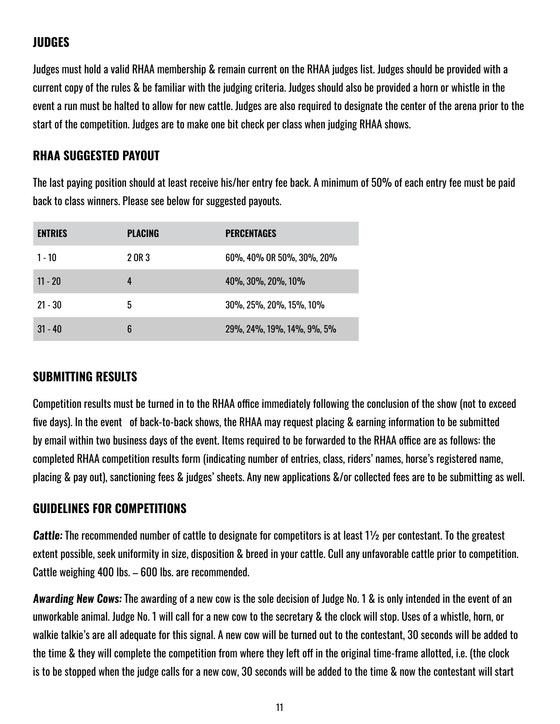### **JUDGES**

Judges must hold a valid RHAA membership & remain current on the RHAA judges list. Judges should be provided with a current copy of the rules & be familiar with the judging criteria. Judges should also be provided a horn or whistle in the event a run must be halted to allow for new cattle. Judges are also required to designate the center of the arena prior to the start of the competition. Judges are to make one bit check per class when judging RHAA shows.

### **RHAA SUGGESTED PAYOUT**

The last paying position should at least receive his/her entry fee back. A minimum of 50% of each entry fee must be paid back to class winners. Please see below for suggested payouts.

| <b>ENTRIES</b> | <b>PLACING</b> | <b>PERCENTAGES</b>         |
|----------------|----------------|----------------------------|
| $1 - 10$       | 2 OR 3         | 60%, 40% OR 50%, 30%, 20%  |
| $11 - 20$      | 4              | 40%, 30%, 20%, 10%         |
| $21 - 30$      | 5              | 30%, 25%, 20%, 15%, 10%    |
| $31 - 40$      | 6              | 29%, 24%, 19%, 14%, 9%, 5% |

### **SUBMITTING RESULTS**

Competition results must be turned in to the RHAA office immediately following the conclusion of the show (not to exceed five days). In the event of back-to-back shows, the RHAA may request placing & earning information to be submitted by email within two business days of the event. Items required to be forwarded to the RHAA office are as follows: the completed RHAA competition results form (indicating number of entries, class, riders' names, horse's registered name, placing & pay out), sanctioning fees & judges' sheets. Any new applications &/or collected fees are to be submitting as well.

### **GUIDELINES FOR COMPETITIONS**

**Cattle:** The recommended number of cattle to designate for competitors is at least 1½ per contestant. To the greatest extent possible, seek uniformity in size, disposition & breed in your cattle. Cull any unfavorable cattle prior to competition. Cattle weighing 400 lbs. – 600 lbs. are recommended.

**Awarding New Cows:** The awarding of a new cow is the sole decision of Judge No. 1 & is only intended in the event of an unworkable animal. Judge No. 1 will call for a new cow to the secretary & the clock will stop. Uses of a whistle, horn, or walkie talkie's are all adequate for this signal. A new cow will be turned out to the contestant, 30 seconds will be added to the time & they will complete the competition from where they left off in the original time-frame allotted, i.e. (the clock is to be stopped when the judge calls for a new cow, 30 seconds will be added to the time & now the contestant will start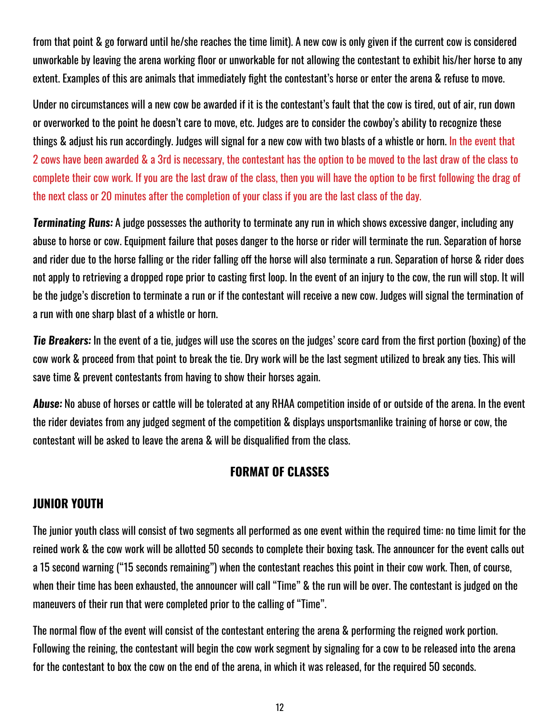from that point & go forward until he/she reaches the time limit). A new cow is only given if the current cow is considered unworkable by leaving the arena working floor or unworkable for not allowing the contestant to exhibit his/her horse to any extent. Examples of this are animals that immediately fight the contestant's horse or enter the arena & refuse to move.

Under no circumstances will a new cow be awarded if it is the contestant's fault that the cow is tired, out of air, run down or overworked to the point he doesn't care to move, etc. Judges are to consider the cowboy's ability to recognize these things & adjust his run accordingly. Judges will signal for a new cow with two blasts of a whistle or horn. In the event that 2 cows have been awarded & a 3rd is necessary, the contestant has the option to be moved to the last draw of the class to complete their cow work. If you are the last draw of the class, then you will have the option to be first following the drag of the next class or 20 minutes after the completion of your class if you are the last class of the day.

**Terminating Runs:** A judge possesses the authority to terminate any run in which shows excessive danger, including any abuse to horse or cow. Equipment failure that poses danger to the horse or rider will terminate the run. Separation of horse and rider due to the horse falling or the rider falling off the horse will also terminate a run. Separation of horse & rider does not apply to retrieving a dropped rope prior to casting first loop. In the event of an injury to the cow, the run will stop. It will be the judge's discretion to terminate a run or if the contestant will receive a new cow. Judges will signal the termination of a run with one sharp blast of a whistle or horn.

**Tie Breakers:** In the event of a tie, judges will use the scores on the judges' score card from the first portion (boxing) of the cow work & proceed from that point to break the tie. Dry work will be the last segment utilized to break any ties. This will save time & prevent contestants from having to show their horses again.

**Abuse:** No abuse of horses or cattle will be tolerated at any RHAA competition inside of or outside of the arena. In the event the rider deviates from any judged segment of the competition & displays unsportsmanlike training of horse or cow, the contestant will be asked to leave the arena & will be disqualified from the class.

### **FORMAT OF CLASSES**

### **JUNIOR YOUTH**

The junior youth class will consist of two segments all performed as one event within the required time: no time limit for the reined work & the cow work will be allotted 50 seconds to complete their boxing task. The announcer for the event calls out a 15 second warning ("15 seconds remaining") when the contestant reaches this point in their cow work. Then, of course, when their time has been exhausted, the announcer will call "Time" & the run will be over. The contestant is judged on the maneuvers of their run that were completed prior to the calling of "Time".

The normal flow of the event will consist of the contestant entering the arena & performing the reigned work portion. Following the reining, the contestant will begin the cow work segment by signaling for a cow to be released into the arena for the contestant to box the cow on the end of the arena, in which it was released, for the required 50 seconds.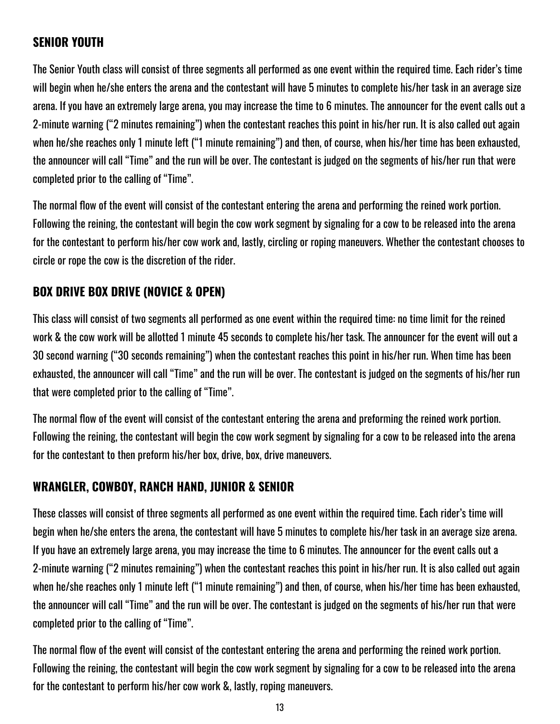### **SENIOR YOUTH**

The Senior Youth class will consist of three segments all performed as one event within the required time. Each rider's time will begin when he/she enters the arena and the contestant will have 5 minutes to complete his/her task in an average size arena. If you have an extremely large arena, you may increase the time to 6 minutes. The announcer for the event calls out a 2-minute warning ("2 minutes remaining") when the contestant reaches this point in his/her run. It is also called out again when he/she reaches only 1 minute left ("1 minute remaining") and then, of course, when his/her time has been exhausted, the announcer will call "Time" and the run will be over. The contestant is judged on the segments of his/her run that were completed prior to the calling of "Time".

The normal flow of the event will consist of the contestant entering the arena and performing the reined work portion. Following the reining, the contestant will begin the cow work segment by signaling for a cow to be released into the arena for the contestant to perform his/her cow work and, lastly, circling or roping maneuvers. Whether the contestant chooses to circle or rope the cow is the discretion of the rider.

### **BOX DRIVE BOX DRIVE (NOVICE & OPEN)**

This class will consist of two segments all performed as one event within the required time: no time limit for the reined work & the cow work will be allotted 1 minute 45 seconds to complete his/her task. The announcer for the event will out a 30 second warning ("30 seconds remaining") when the contestant reaches this point in his/her run. When time has been exhausted, the announcer will call "Time" and the run will be over. The contestant is judged on the segments of his/her run that were completed prior to the calling of "Time".

The normal flow of the event will consist of the contestant entering the arena and preforming the reined work portion. Following the reining, the contestant will begin the cow work segment by signaling for a cow to be released into the arena for the contestant to then preform his/her box, drive, box, drive maneuvers.

### **WRANGLER, COWBOY, RANCH HAND, JUNIOR & SENIOR**

These classes will consist of three segments all performed as one event within the required time. Each rider's time will begin when he/she enters the arena, the contestant will have 5 minutes to complete his/her task in an average size arena. If you have an extremely large arena, you may increase the time to 6 minutes. The announcer for the event calls out a 2-minute warning ("2 minutes remaining") when the contestant reaches this point in his/her run. It is also called out again when he/she reaches only 1 minute left ("1 minute remaining") and then, of course, when his/her time has been exhausted, the announcer will call "Time" and the run will be over. The contestant is judged on the segments of his/her run that were completed prior to the calling of "Time".

The normal flow of the event will consist of the contestant entering the arena and performing the reined work portion. Following the reining, the contestant will begin the cow work segment by signaling for a cow to be released into the arena for the contestant to perform his/her cow work &, lastly, roping maneuvers.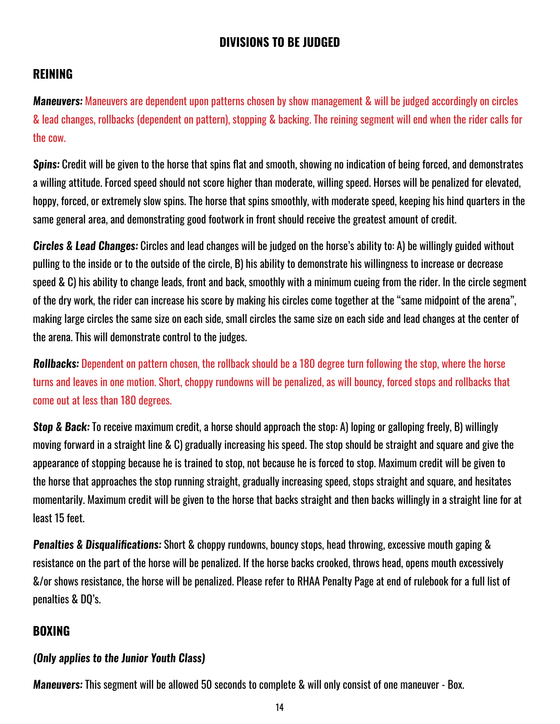### **DIVISIONS TO BE JUDGED**

### **REINING**

**Maneuvers:** Maneuvers are dependent upon patterns chosen by show management & will be judged accordingly on circles & lead changes, rollbacks (dependent on pattern), stopping & backing. The reining segment will end when the rider calls for the cow.

**Spins:** Credit will be given to the horse that spins flat and smooth, showing no indication of being forced, and demonstrates a willing attitude. Forced speed should not score higher than moderate, willing speed. Horses will be penalized for elevated, hoppy, forced, or extremely slow spins. The horse that spins smoothly, with moderate speed, keeping his hind quarters in the same general area, and demonstrating good footwork in front should receive the greatest amount of credit.

**Circles & Lead Changes:** Circles and lead changes will be judged on the horse's ability to: A) be willingly guided without pulling to the inside or to the outside of the circle, B) his ability to demonstrate his willingness to increase or decrease speed & C) his ability to change leads, front and back, smoothly with a minimum cueing from the rider. In the circle segment of the dry work, the rider can increase his score by making his circles come together at the "same midpoint of the arena", making large circles the same size on each side, small circles the same size on each side and lead changes at the center of the arena. This will demonstrate control to the judges.

**Rollbacks:** Dependent on pattern chosen, the rollback should be a 180 degree turn following the stop, where the horse turns and leaves in one motion. Short, choppy rundowns will be penalized, as will bouncy, forced stops and rollbacks that come out at less than 180 degrees.

**Stop & Back:** To receive maximum credit, a horse should approach the stop: A) loping or galloping freely, B) willingly moving forward in a straight line & C) gradually increasing his speed. The stop should be straight and square and give the appearance of stopping because he is trained to stop, not because he is forced to stop. Maximum credit will be given to the horse that approaches the stop running straight, gradually increasing speed, stops straight and square, and hesitates momentarily. Maximum credit will be given to the horse that backs straight and then backs willingly in a straight line for at least 15 feet.

**Penalties & Disqualifications:** Short & choppy rundowns, bouncy stops, head throwing, excessive mouth gaping & resistance on the part of the horse will be penalized. If the horse backs crooked, throws head, opens mouth excessively &/or shows resistance, the horse will be penalized. Please refer to RHAA Penalty Page at end of rulebook for a full list of penalties & DQ's.

### **BOXING**

### **(Only applies to the Junior Youth Class)**

**Maneuvers:** This segment will be allowed 50 seconds to complete & will only consist of one maneuver - Box.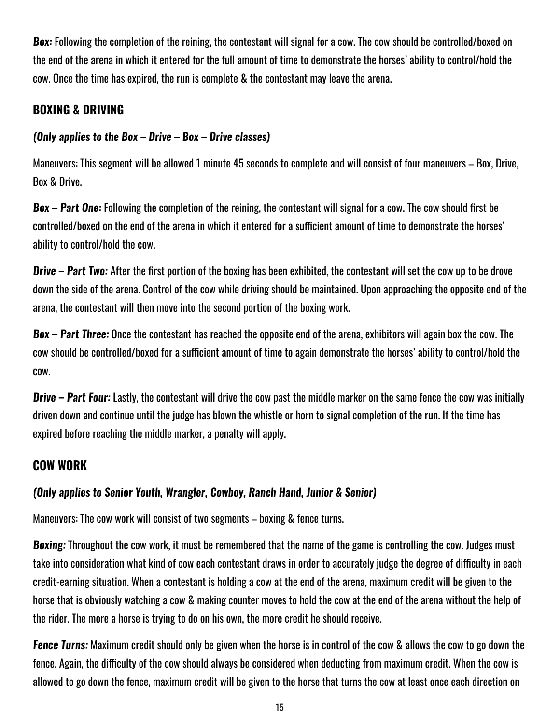**Box:** Following the completion of the reining, the contestant will signal for a cow. The cow should be controlled/boxed on the end of the arena in which it entered for the full amount of time to demonstrate the horses' ability to control/hold the cow. Once the time has expired, the run is complete & the contestant may leave the arena.

### **BOXING & DRIVING**

### **(Only applies to the Box – Drive – Box – Drive classes)**

Maneuvers: This segment will be allowed 1 minute 45 seconds to complete and will consist of four maneuvers – Box, Drive, Box & Drive.

**Box – Part One:** Following the completion of the reining, the contestant will signal for a cow. The cow should first be controlled/boxed on the end of the arena in which it entered for a sufficient amount of time to demonstrate the horses' ability to control/hold the cow.

**Drive – Part Two:** After the first portion of the boxing has been exhibited, the contestant will set the cow up to be drove down the side of the arena. Control of the cow while driving should be maintained. Upon approaching the opposite end of the arena, the contestant will then move into the second portion of the boxing work.

**Box – Part Three:** Once the contestant has reached the opposite end of the arena, exhibitors will again box the cow. The cow should be controlled/boxed for a sufficient amount of time to again demonstrate the horses' ability to control/hold the cow.

**Drive – Part Four:** Lastly, the contestant will drive the cow past the middle marker on the same fence the cow was initially driven down and continue until the judge has blown the whistle or horn to signal completion of the run. If the time has expired before reaching the middle marker, a penalty will apply.

### **COW WORK**

### **(Only applies to Senior Youth, Wrangler, Cowboy, Ranch Hand, Junior & Senior)**

Maneuvers: The cow work will consist of two segments – boxing & fence turns.

**Boxing:** Throughout the cow work, it must be remembered that the name of the game is controlling the cow. Judges must take into consideration what kind of cow each contestant draws in order to accurately judge the degree of difficulty in each credit-earning situation. When a contestant is holding a cow at the end of the arena, maximum credit will be given to the horse that is obviously watching a cow & making counter moves to hold the cow at the end of the arena without the help of the rider. The more a horse is trying to do on his own, the more credit he should receive.

**Fence Turns:** Maximum credit should only be given when the horse is in control of the cow & allows the cow to go down the fence. Again, the difficulty of the cow should always be considered when deducting from maximum credit. When the cow is allowed to go down the fence, maximum credit will be given to the horse that turns the cow at least once each direction on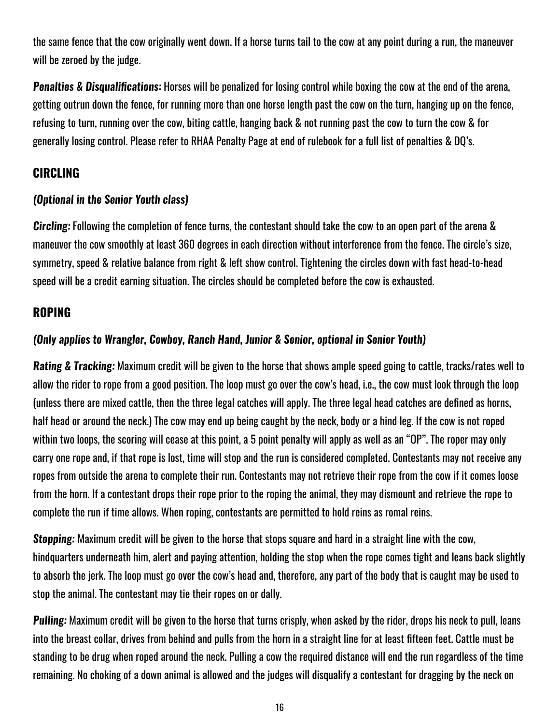the same fence that the cow originally went down. If a horse turns tail to the cow at any point during a run, the maneuver will be zeroed by the judge.

**Penalties & Disqualifications:** Horses will be penalized for losing control while boxing the cow at the end of the arena, getting outrun down the fence, for running more than one horse length past the cow on the turn, hanging up on the fence, refusing to turn, running over the cow, biting cattle, hanging back & not running past the cow to turn the cow & for generally losing control. Please refer to RHAA Penalty Page at end of rulebook for a full list of penalties & DQ's.

### **CIRCLING**

### **(Optional in the Senior Youth class)**

**Circling:** Following the completion of fence turns, the contestant should take the cow to an open part of the arena & maneuver the cow smoothly at least 360 degrees in each direction without interference from the fence. The circle's size, symmetry, speed & relative balance from right & left show control. Tightening the circles down with fast head-to-head speed will be a credit earning situation. The circles should be completed before the cow is exhausted.

### **ROPING**

### **(Only applies to Wrangler, Cowboy, Ranch Hand, Junior & Senior, optional in Senior Youth)**

**Rating & Tracking:** Maximum credit will be given to the horse that shows ample speed going to cattle, tracks/rates well to allow the rider to rope from a good position. The loop must go over the cow's head, i.e., the cow must look through the loop (unless there are mixed cattle, then the three legal catches will apply. The three legal head catches are defined as horns, half head or around the neck.) The cow may end up being caught by the neck, body or a hind leg. If the cow is not roped within two loops, the scoring will cease at this point, a 5 point penalty will apply as well as an "OP". The roper may only carry one rope and, if that rope is lost, time will stop and the run is considered completed. Contestants may not receive any ropes from outside the arena to complete their run. Contestants may not retrieve their rope from the cow if it comes loose from the horn. If a contestant drops their rope prior to the roping the animal, they may dismount and retrieve the rope to complete the run if time allows. When roping, contestants are permitted to hold reins as romal reins.

**Stopping:** Maximum credit will be given to the horse that stops square and hard in a straight line with the cow, hindquarters underneath him, alert and paying attention, holding the stop when the rope comes tight and leans back slightly to absorb the jerk. The loop must go over the cow's head and, therefore, any part of the body that is caught may be used to stop the animal. The contestant may tie their ropes on or dally.

**Pulling:** Maximum credit will be given to the horse that turns crisply, when asked by the rider, drops his neck to pull, leans into the breast collar, drives from behind and pulls from the horn in a straight line for at least fifteen feet. Cattle must be standing to be drug when roped around the neck. Pulling a cow the required distance will end the run regardless of the time remaining. No choking of a down animal is allowed and the judges will disqualify a contestant for dragging by the neck on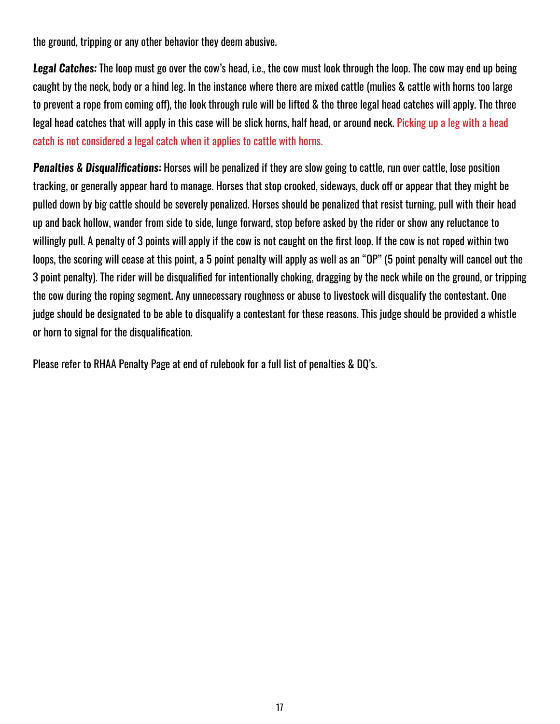the ground, tripping or any other behavior they deem abusive.

**Legal Catches:** The loop must go over the cow's head, i.e., the cow must look through the loop. The cow may end up being caught by the neck, body or a hind leg. In the instance where there are mixed cattle (mulies & cattle with horns too large to prevent a rope from coming off), the look through rule will be lifted & the three legal head catches will apply. The three legal head catches that will apply in this case will be slick horns, half head, or around neck. Picking up a leg with a head catch is not considered a legal catch when it applies to cattle with horns.

**Penalties & Disqualifications:** Horses will be penalized if they are slow going to cattle, run over cattle, lose position tracking, or generally appear hard to manage. Horses that stop crooked, sideways, duck off or appear that they might be pulled down by big cattle should be severely penalized. Horses should be penalized that resist turning, pull with their head up and back hollow, wander from side to side, lunge forward, stop before asked by the rider or show any reluctance to willingly pull. A penalty of 3 points will apply if the cow is not caught on the first loop. If the cow is not roped within two loops, the scoring will cease at this point, a 5 point penalty will apply as well as an "OP" (5 point penalty will cancel out the 3 point penalty). The rider will be disqualified for intentionally choking, dragging by the neck while on the ground, or tripping the cow during the roping segment. Any unnecessary roughness or abuse to livestock will disqualify the contestant. One judge should be designated to be able to disqualify a contestant for these reasons. This judge should be provided a whistle or horn to signal for the disqualification.

Please refer to RHAA Penalty Page at end of rulebook for a full list of penalties & DQ's.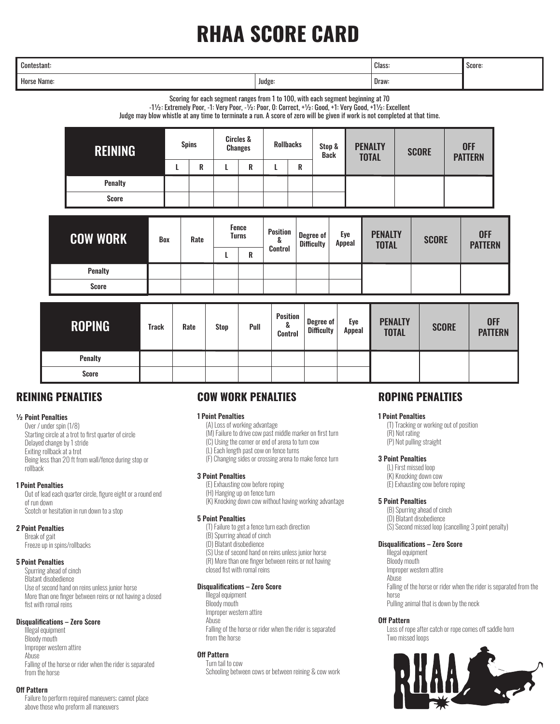## **RHAA SCORE CARD**

| Contestant: | Class: | l Score:<br>the contract of the contract of the |  |
|-------------|--------|-------------------------------------------------|--|
| Horse Name: | Judge  | Draw:                                           |  |

Scoring for each segment ranges from 1 to 100, with each segment beginning at 70

-1½: Extremely Poor, -1: Very Poor, -½: Poor, 0: Correct, +½: Good, +1: Very Good, +1½: Excellent

Judge may blow whistle at any time to terminate a run. A score of zero will be given if work is not completed at that time.

| <b>REINING</b> | <b>Spins</b> |        | <b>Circles &amp;</b><br><b>Changes</b> |   | <b>Rollbacks</b> | Stop &<br><b>Back</b> | <b>PENALTY</b><br><b>TOTAL</b> | <b>SCORE</b> | <b>OFF</b><br><b>PATTERN</b> |
|----------------|--------------|--------|----------------------------------------|---|------------------|-----------------------|--------------------------------|--------------|------------------------------|
|                |              | D<br>n |                                        | R | D<br>n           |                       |                                |              |                              |
| <b>Penalty</b> |              |        |                                        |   |                  |                       |                                |              |                              |
| <b>Score</b>   |              |        |                                        |   |                  |                       |                                |              |                              |

| <b>COW WORK</b> | Box | Rate | Fence<br><b>Turns</b><br>R | <b>Position</b><br>ά<br>Control | Degree of<br><b>Difficulty</b> | Eye<br>Appeal | <b>PENALTY</b><br><b>TOTAL</b> | <b>SCORE</b> | <b>OFF</b><br><b>PATTERN</b> |
|-----------------|-----|------|----------------------------|---------------------------------|--------------------------------|---------------|--------------------------------|--------------|------------------------------|
| <b>Penalty</b>  |     |      |                            |                                 |                                |               |                                |              |                              |
| <b>Score</b>    |     |      |                            |                                 |                                |               |                                |              |                              |

| <b>ROPING</b>  | <b>Track</b> | Rate | <b>Stop</b> | Pull | <b>Position</b><br>&<br>Control | Degree of<br><b>Difficulty</b> | Eye<br>Appeal | <b>PENALTY</b><br><b>TOTAL</b> | <b>SCORE</b> | <b>OFF</b><br><b>PATTERN</b> |
|----------------|--------------|------|-------------|------|---------------------------------|--------------------------------|---------------|--------------------------------|--------------|------------------------------|
| <b>Penalty</b> |              |      |             |      |                                 |                                |               |                                |              |                              |
| <b>Score</b>   |              |      |             |      |                                 |                                |               |                                |              |                              |

### **REINING PENALTIES**

#### ½ Point Penalties

Over / under spin (1/8) Starting circle at a trot to first quarter of circle Delayed change by 1 stride Exiting rollback at a trot Being less than 20 ft from wall/fence during stop or rollback

#### 1 Point Penalties

 Out of lead each quarter circle, figure eight or a round end of run down Scotch or hesitation in run down to a stop

#### 2 Point Penalties

 Break of gait Freeze up in spins/rollbacks

#### 5 Point Penalties

 Spurring ahead of cinch Blatant disobedience Use of second hand on reins unless junior horse More than one finger between reins or not having a closed fist with romal reins

#### Disqualifications – Zero Score

 Illegal equipment Bloody mouth Improper western attire Abuse Falling of the horse or rider when the rider is separated from the horse

#### Off Pattern

 Failure to perform required maneuvers; cannot place above those who preform all maneuvers

### **COW WORK PENALTIES**

#### 1 Point Penalties

- (A) Loss of working advantage
- (M) Failure to drive cow past middle marker on first turn
- (C) Using the corner or end of arena to turn cow
- (L) Each length past cow on fence turns
- (F) Changing sides or crossing arena to make fence turn

#### 3 Point Penalties

- (E) Exhausting cow before roping
- (H) Hanging up on fence turn
- (K) Knocking down cow without having working advantage

#### 5 Point Penalties

- (T) Failure to get a fence turn each direction
- (B) Spurring ahead of cinch
- (D) Blatant disobedience
- (S) Use of second hand on reins unless junior horse (R) More than one finger between reins or not having
- closed fist with romal reins

#### Disqualifications – Zero Score

 Illegal equipment Bloody mouth Improper western attire Abuse Falling of the horse or rider when the rider is separated from the horse

#### Off Pattern

 Turn tail to cow Schooling between cows or between reining & cow work

### **ROPING PENALTIES**

#### 1 Point Penalties

 (T) Tracking or working out of position (R) Not rating (P) Not pulling straight

#### 3 Point Penalties

 (L) First missed loop (K) Knocking down cow (E) Exhausting cow before roping

#### 5 Point Penalties

 (B) Spurring ahead of cinch (D) Blatant disobedience (S) Second missed loop (cancelling 3 point penalty)

#### Disqualifications – Zero Score

 Illegal equipment Bloody mouth Improper western attire Abuse Falling of the horse or rider when the rider is separated from the horse Pulling animal that is down by the neck

#### Off Pattern

 Loss of rope after catch or rope comes off saddle horn Two missed loops

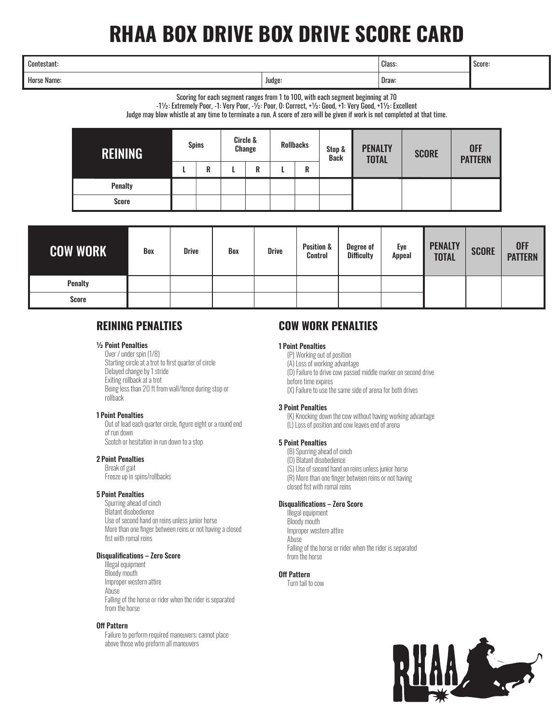## **RHAA BOX DRIVE BOX DRIVE SCORE CARD**

| Contestant: | Class:             | Score:                                   |  |
|-------------|--------------------|------------------------------------------|--|
| Horse Name: | Judge <sup>.</sup> | Draw:<br>the contract of the contract of |  |

Scoring for each segment ranges from 1 to 100, with each segment beginning at 70

-1½: Extremely Poor, -1: Very Poor, -½: Poor, 0: Correct, +½: Good, +1: Very Good, +1½: Excellent

Judge may blow whistle at any time to terminate a run. A score of zero will be given if work is not completed at that time.

| <b>REINING</b> | <b>Spins</b> |   | Circle &<br><b>Change</b> |   | <b>Rollbacks</b> | Stop &<br><b>Back</b> | <b>PENALTY</b><br><b>TOTAL</b> | <b>SCORE</b> | <b>OFF</b><br><b>PATTERN</b> |
|----------------|--------------|---|---------------------------|---|------------------|-----------------------|--------------------------------|--------------|------------------------------|
|                |              | R |                           | R | R                |                       |                                |              |                              |
| <b>Penalty</b> |              |   |                           |   |                  |                       |                                |              |                              |
| <b>Score</b>   |              |   |                           |   |                  |                       |                                |              |                              |

| <b>COW WORK</b> | Box | <b>Drive</b> | Box | <b>Drive</b> | <b>Position &amp;</b><br>Control | <b>Degree of</b><br><b>Difficulty</b> | Eye<br><b>Appeal</b> | <b>PENALTY</b><br><b>TOTAL</b> | <b>SCORE</b> | OFF<br>PATTERN |
|-----------------|-----|--------------|-----|--------------|----------------------------------|---------------------------------------|----------------------|--------------------------------|--------------|----------------|
| <b>Penalty</b>  |     |              |     |              |                                  |                                       |                      |                                |              |                |
| <b>Score</b>    |     |              |     |              |                                  |                                       |                      |                                |              |                |

### **REINING PENALTIES**

#### ½ Point Penalties

 Over / under spin (1/8) Starting circle at a trot to first quarter of circle Delayed change by 1 stride Exiting rollback at a trot Being less than 20 ft from wall/fence during stop or rollback

#### 1 Point Penalties

 Out of lead each quarter circle, figure eight or a round end of run down Scotch or hesitation in run down to a stop

#### 2 Point Penalties

 Break of gait Freeze up in spins/rollbacks

#### 5 Point Penalties

 Spurring ahead of cinch Blatant disobedience Use of second hand on reins unless junior horse More than one finger between reins or not having a closed fist with romal reins

#### Disqualifications – Zero Score

 Illegal equipment Bloody mouth Improper western attire Abuse Falling of the horse or rider when the rider is separated from the horse

#### Off Pattern

 Failure to perform required maneuvers; cannot place above those who preform all maneuvers

### **COW WORK PENALTIES**

#### 1 Point Penalties

- (P) Working out of position
- (A) Loss of working advantage
- (D) Failure to drive cow passed middle marker on second drive before time expires
- (X) Failure to use the same side of arena for both drives

#### 3 Point Penalties

 (K) Knocking down the cow without having working advantage (L) Loss of position and cow leaves end of arena

#### 5 Point Penalties

- (B) Spurring ahead of cinch
- (D) Blatant disobedience
- (S) Use of second hand on reins unless junior horse
- (R) More than one finger between reins or not having closed fist with romal reins

Disqualifications – Zero Score Illegal equipment Bloody mouth Improper western attire Abuse Falling of the horse or rider when the rider is separated from the horse

#### Off Pattern

Turn tail to cow

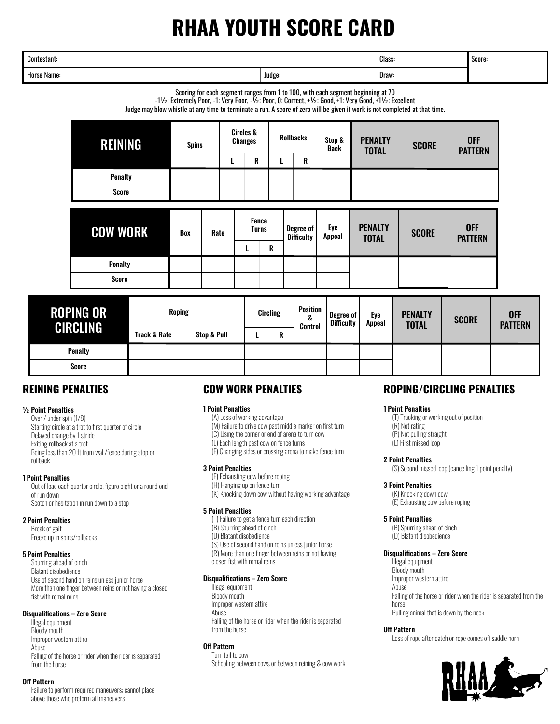## **RHAA YOUTH SCORE CARD**

| Contestant: | Class:<br>. | Score: |  |
|-------------|-------------|--------|--|
| Horse Name: | Judge:      | Draw:  |  |

Scoring for each segment ranges from 1 to 100, with each segment beginning at 70

-1½: Extremely Poor, -1: Very Poor, -½: Poor, 0: Correct, +½: Good, +1: Very Good, +1½: Excellent

Judge may blow whistle at any time to terminate a run. A score of zero will be given if work is not completed at that time.

| <b>REINING</b>  | <b>Spins</b> |      | <b>Circles &amp;</b><br><b>Changes</b> |                              |   | <b>Rollbacks</b>                      | Stop &<br><b>Back</b> | <b>PENALTY</b><br><b>TOTAL</b> | <b>SCORE</b> | <b>OFF</b><br><b>PATTERN</b> |
|-----------------|--------------|------|----------------------------------------|------------------------------|---|---------------------------------------|-----------------------|--------------------------------|--------------|------------------------------|
|                 |              |      | ш                                      | R                            |   | R                                     |                       |                                |              |                              |
| <b>Penalty</b>  |              |      |                                        |                              |   |                                       |                       |                                |              |                              |
| <b>Score</b>    |              |      |                                        |                              |   |                                       |                       |                                |              |                              |
| <b>COW WORK</b> |              | Rate |                                        | <b>Fence</b><br><b>Turns</b> |   | <b>Degree of</b><br><b>Difficulty</b> | Eye<br>Appeal         | <b>PENALTY</b>                 |              |                              |
|                 | Box          |      |                                        |                              |   |                                       |                       |                                | <b>SCORE</b> | <b>OFF</b>                   |
|                 |              |      |                                        |                              | R |                                       |                       | <b>TOTAL</b>                   |              | <b>PATTERN</b>               |
| <b>Penalty</b>  |              |      |                                        |                              |   |                                       |                       |                                |              |                              |

| <b>ROPING OR</b><br>CIRCLING | <b>Roping</b> |             | Circling |   | Position<br>$\Omega$<br>Δ<br><b>Control</b> | Degree of<br><b>Difficulty</b> | Eye<br><b>Appeal</b> | <b>PENALTY</b><br><b>TOTAL</b> | <b>SCORE</b> | <b>OFF</b><br><b>PATTERN</b> |
|------------------------------|---------------|-------------|----------|---|---------------------------------------------|--------------------------------|----------------------|--------------------------------|--------------|------------------------------|
|                              | Track & Rate  | Stop & Pull |          | R |                                             |                                |                      |                                |              |                              |
| <b>Penalty</b>               |               |             |          |   |                                             |                                |                      |                                |              |                              |
| Score                        |               |             |          |   |                                             |                                |                      |                                |              |                              |

### **REINING PENALTIES**

#### ½ Point Penalties

 Over / under spin (1/8) Starting circle at a trot to first quarter of circle Delayed change by 1 stride Exiting rollback at a trot Being less than 20 ft from wall/fence during stop or rollback

#### 1 Point Penalties

 Out of lead each quarter circle, figure eight or a round end of run down Scotch or hesitation in run down to a stop

#### 2 Point Penalties

 Break of gait Freeze up in spins/rollbacks

#### 5 Point Penalties

 Spurring ahead of cinch Blatant disobedience Use of second hand on reins unless junior horse More than one finger between reins or not having a closed fist with romal reins

#### Disqualifications – Zero Score

 Illegal equipment Bloody mouth Improper western attire Abuse Falling of the horse or rider when the rider is separated from the horse

#### Off Pattern

 Failure to perform required maneuvers; cannot place above those who preform all maneuvers

### **COW WORK PENALTIES**

#### 1 Point Penalties

- (A) Loss of working advantage
- (M) Failure to drive cow past middle marker on first turn
- (C) Using the corner or end of arena to turn cow (L) Each length past cow on fence turns
- 
- (F) Changing sides or crossing arena to make fence turn

#### 3 Point Penalties

- (E) Exhausting cow before roping
- (H) Hanging up on fence turn
- (K) Knocking down cow without having working advantage

#### 5 Point Penalties

- (T) Failure to get a fence turn each direction
- (B) Spurring ahead of cinch
- (D) Blatant disobedience
- (S) Use of second hand on reins unless junior horse
- (R) More than one finger between reins or not having
- closed fist with romal reins

#### Disqualifications – Zero Score

 Illegal equipment Bloody mouth Improper western attire Abuse Falling of the horse or rider when the rider is separated from the horse

#### Off Pattern

 Turn tail to cow Schooling between cows or between reining & cow work

### **ROPING/CIRCLING PENALTIES**

#### 1 Point Penalties

 (T) Tracking or working out of position (R) Not rating (P) Not pulling straight

(L) First missed loop

#### 2 Point Penalties

(S) Second missed loop (cancelling 1 point penalty)

#### 3 Point Penalties

 (K) Knocking down cow (E) Exhausting cow before roping

#### 5 Point Penalties

 (B) Spurring ahead of cinch (D) Blatant disobedience

#### Disqualifications – Zero Score

 Illegal equipment Bloody mouth Improper western attire Abuse Falling of the horse or rider when the rider is separated from the horse Pulling animal that is down by the neck

#### Off Pattern

Loss of rope after catch or rope comes off saddle horn

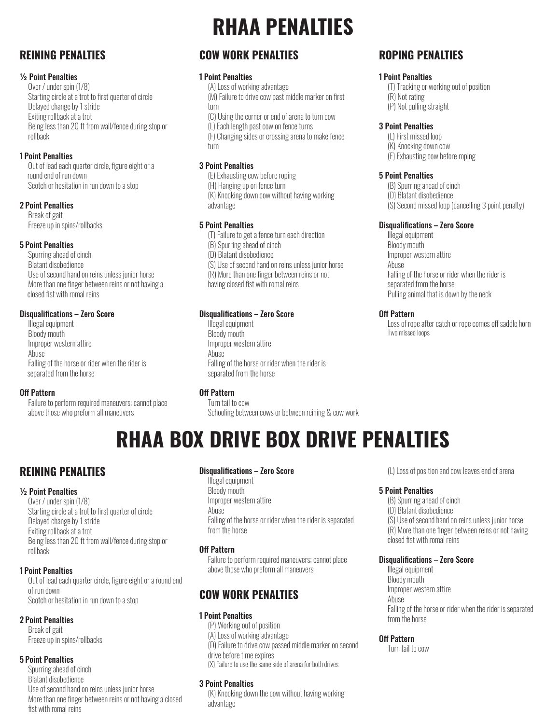### **REINING PENALTIES**

#### ½ Point Penalties

Over / under spin (1/8) Starting circle at a trot to first quarter of circle Delayed change by 1 stride Exiting rollback at a trot Being less than 20 ft from wall/fence during stop or rollback

#### 1 Point Penalties

 Out of lead each quarter circle, figure eight or a round end of run down Scotch or hesitation in run down to a stop

#### 2 Point Penalties

 Break of gait Freeze up in spins/rollbacks

#### 5 Point Penalties

 Spurring ahead of cinch Blatant disobedience Use of second hand on reins unless junior horse More than one finger between reins or not having a closed fist with romal reins

#### Disqualifications – Zero Score

 Illegal equipment Bloody mouth Improper western attire **Abuse**  Falling of the horse or rider when the rider is separated from the horse

#### Off Pattern

 Failure to perform required maneuvers; cannot place above those who preform all maneuvers

## **RHAA PENALTIES**

### **COW WORK PENALTIES**

#### 1 Point Penalties

 (A) Loss of working advantage (M) Failure to drive cow past middle marker on first

 turn (C) Using the corner or end of arena to turn cow

(L) Each length past cow on fence turns

 (F) Changing sides or crossing arena to make fence turn

#### 3 Point Penalties

 (E) Exhausting cow before roping (H) Hanging up on fence turn (K) Knocking down cow without having working advantage

#### 5 Point Penalties

 (T) Failure to get a fence turn each direction (B) Spurring ahead of cinch (D) Blatant disobedience (S) Use of second hand on reins unless junior horse (R) More than one finger between reins or not having closed fist with romal reins

#### Disqualifications – Zero Score

 Illegal equipment Bloody mouth Improper western attire Abuse Falling of the horse or rider when the rider is separated from the horse

#### Off Pattern

 Turn tail to cow Schooling between cows or between reining & cow work

### **ROPING PENALTIES**

#### 1 Point Penalties

 (T) Tracking or working out of position (R) Not rating

(P) Not pulling straight

#### 3 Point Penalties

 (L) First missed loop (K) Knocking down cow

(E) Exhausting cow before roping

#### 5 Point Penalties

(B) Spurring ahead of cinch

- (D) Blatant disobedience
- (S) Second missed loop (cancelling 3 point penalty)

#### Disqualifications – Zero Score

 Illegal equipment Bloody mouth Improper western attire Abuse Falling of the horse or rider when the rider is separated from the horse Pulling animal that is down by the neck

#### Off Pattern

 Loss of rope after catch or rope comes off saddle horn Two missed loops

## **RHAA BOX DRIVE BOX DRIVE PENALTIES**

### **REINING PENALTIES**

#### ½ Point Penalties

 Over / under spin (1/8) Starting circle at a trot to first quarter of circle Delayed change by 1 stride Exiting rollback at a trot Being less than 20 ft from wall/fence during stop or rollback

#### 1 Point Penalties

 Out of lead each quarter circle, figure eight or a round end of run down Scotch or hesitation in run down to a stop

#### 2 Point Penalties

 Break of gait Freeze up in spins/rollbacks

#### 5 Point Penalties

 Spurring ahead of cinch Blatant disobedience Use of second hand on reins unless junior horse More than one finger between reins or not having a closed fist with romal reins

#### Disqualifications – Zero Score

 Illegal equipment Bloody mouth Improper western attire Abuse Falling of the horse or rider when the rider is separated from the horse

#### Off Pattern

 Failure to perform required maneuvers; cannot place above those who preform all maneuvers

### **COW WORK PENALTIES**

#### 1 Point Penalties

 (P) Working out of position (A) Loss of working advantage (D) Failure to drive cow passed middle marker on second drive before time expires (X) Failure to use the same side of arena for both drives

#### 3 Point Penalties

 (K) Knocking down the cow without having working advantage

(L) Loss of position and cow leaves end of arena

#### 5 Point Penalties

 (B) Spurring ahead of cinch (D) Blatant disobedience (S) Use of second hand on reins unless junior horse (R) More than one finger between reins or not having closed fist with romal reins

#### Disqualifications – Zero Score

 Illegal equipment Bloody mouth Improper western attire Abuse Falling of the horse or rider when the rider is separated from the horse

#### Off Pattern

Turn tail to cow